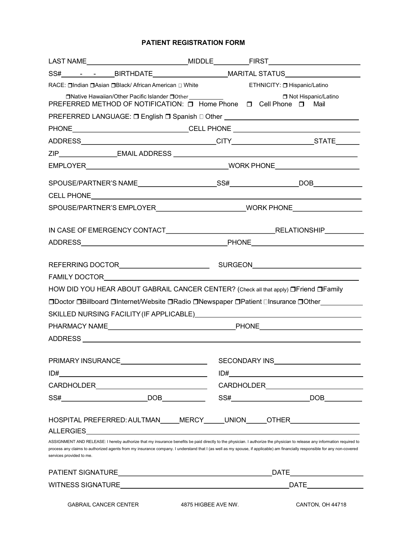# PATIENT REGISTRATION FORM

|                                                                                                                                                                                                                                |                                   | LAST NAME __________________________________MIDDLE______________________________                                                                                                                                                                                                                                                                         |
|--------------------------------------------------------------------------------------------------------------------------------------------------------------------------------------------------------------------------------|-----------------------------------|----------------------------------------------------------------------------------------------------------------------------------------------------------------------------------------------------------------------------------------------------------------------------------------------------------------------------------------------------------|
|                                                                                                                                                                                                                                |                                   |                                                                                                                                                                                                                                                                                                                                                          |
| RACE: □Indian □Asian □Black/ African American □ White                                                                                                                                                                          |                                   | ETHNICITY: □ Hispanic/Latino                                                                                                                                                                                                                                                                                                                             |
|                                                                                                                                                                                                                                |                                   | □ Not Hispanic/Latino                                                                                                                                                                                                                                                                                                                                    |
|                                                                                                                                                                                                                                |                                   | PREFERRED LANGUAGE: □ English □ Spanish □ Other ________________________________                                                                                                                                                                                                                                                                         |
|                                                                                                                                                                                                                                |                                   |                                                                                                                                                                                                                                                                                                                                                          |
|                                                                                                                                                                                                                                |                                   |                                                                                                                                                                                                                                                                                                                                                          |
|                                                                                                                                                                                                                                |                                   |                                                                                                                                                                                                                                                                                                                                                          |
|                                                                                                                                                                                                                                |                                   |                                                                                                                                                                                                                                                                                                                                                          |
|                                                                                                                                                                                                                                |                                   |                                                                                                                                                                                                                                                                                                                                                          |
|                                                                                                                                                                                                                                |                                   |                                                                                                                                                                                                                                                                                                                                                          |
|                                                                                                                                                                                                                                |                                   | SPOUSE/PARTNER'S EMPLOYER_________________________________WORK PHONE____________                                                                                                                                                                                                                                                                         |
|                                                                                                                                                                                                                                |                                   |                                                                                                                                                                                                                                                                                                                                                          |
|                                                                                                                                                                                                                                |                                   |                                                                                                                                                                                                                                                                                                                                                          |
|                                                                                                                                                                                                                                |                                   |                                                                                                                                                                                                                                                                                                                                                          |
|                                                                                                                                                                                                                                |                                   |                                                                                                                                                                                                                                                                                                                                                          |
|                                                                                                                                                                                                                                |                                   |                                                                                                                                                                                                                                                                                                                                                          |
|                                                                                                                                                                                                                                | FAMILY DOCTOR <b>EXAMPLE 2006</b> |                                                                                                                                                                                                                                                                                                                                                          |
|                                                                                                                                                                                                                                |                                   | HOW DID YOU HEAR ABOUT GABRAIL CANCER CENTER? (Check all that apply) <b>□Friend □Family</b>                                                                                                                                                                                                                                                              |
|                                                                                                                                                                                                                                |                                   | □Doctor □Billboard □Internet/Website □Radio □Newspaper □Patient □Insurance □Other                                                                                                                                                                                                                                                                        |
|                                                                                                                                                                                                                                |                                   | SKILLED NURSING FACILITY (IF APPLICABLE) And a control of the state of the state of the state of the state of the state of the state of the state of the state of the state of the state of the state of the state of the stat                                                                                                                           |
|                                                                                                                                                                                                                                |                                   |                                                                                                                                                                                                                                                                                                                                                          |
|                                                                                                                                                                                                                                |                                   |                                                                                                                                                                                                                                                                                                                                                          |
|                                                                                                                                                                                                                                |                                   |                                                                                                                                                                                                                                                                                                                                                          |
|                                                                                                                                                                                                                                |                                   |                                                                                                                                                                                                                                                                                                                                                          |
|                                                                                                                                                                                                                                |                                   |                                                                                                                                                                                                                                                                                                                                                          |
| CARDHOLDER_________________________________                                                                                                                                                                                    |                                   |                                                                                                                                                                                                                                                                                                                                                          |
| SS# Production and the contract of the contract of the contract of the contract of the contract of the contract of the contract of the contract of the contract of the contract of the contract of the contract of the contrac | DOB                               | $SS#$ DOB                                                                                                                                                                                                                                                                                                                                                |
|                                                                                                                                                                                                                                |                                   | HOSPITAL PREFERRED: AULTMAN______MERCY______UNION______OTHER____________________                                                                                                                                                                                                                                                                         |
|                                                                                                                                                                                                                                |                                   |                                                                                                                                                                                                                                                                                                                                                          |
| services provided to me.                                                                                                                                                                                                       |                                   | ASSIGNMENT AND RELEASE: I hereby authorize that my insurance benefits be paid directly to the physician. I authorize the physician to release any information required to<br>process any claims to authorized agents from my insurance company. I understand that I (as well as my spouse, if applicable) am financially responsible for any non-covered |
|                                                                                                                                                                                                                                |                                   | $\overline{\text{DATE}}$ $\overline{\text{MATE}}$                                                                                                                                                                                                                                                                                                        |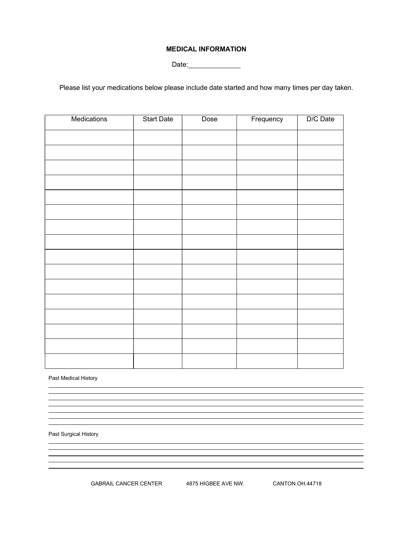### MEDICAL INFORMATION

| Please list your medications below please include date started and how many times per day taken. |                   | Date:________________ |           |          |
|--------------------------------------------------------------------------------------------------|-------------------|-----------------------|-----------|----------|
|                                                                                                  |                   |                       |           |          |
|                                                                                                  |                   |                       |           |          |
| Medications                                                                                      | <b>Start Date</b> | Dose                  | Frequency | D/C Date |
|                                                                                                  |                   |                       |           |          |
|                                                                                                  |                   |                       |           |          |
|                                                                                                  |                   |                       |           |          |
|                                                                                                  |                   |                       |           |          |
|                                                                                                  |                   |                       |           |          |
|                                                                                                  |                   |                       |           |          |
|                                                                                                  |                   |                       |           |          |
|                                                                                                  |                   |                       |           |          |
|                                                                                                  |                   |                       |           |          |
|                                                                                                  |                   |                       |           |          |
|                                                                                                  |                   |                       |           |          |
|                                                                                                  |                   |                       |           |          |
|                                                                                                  |                   |                       |           |          |
|                                                                                                  |                   |                       |           |          |

Past Medical History

Past Surgical History

GABRAIL CANCER CENTER 4875 HIGBEE AVE NW. CANTON.OH.44718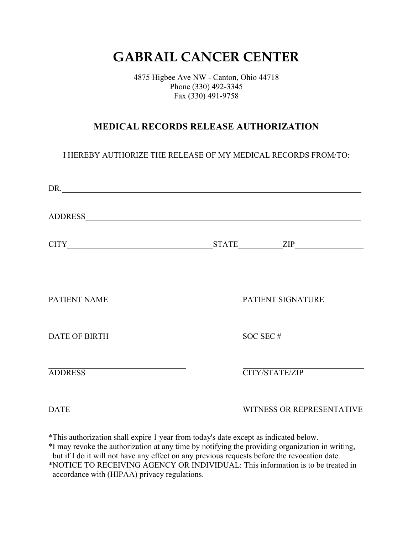# GABRAIL CANCER CENTER

# MEDICAL RECORDS RELEASE AUTHORIZATION

|                                                                                                                                       | <b>GABRAIL CANCER CENTER</b> |  |  |  |
|---------------------------------------------------------------------------------------------------------------------------------------|------------------------------|--|--|--|
| 4875 Higbee Ave NW - Canton, Ohio 44718<br>Phone (330) 492-3345<br>Fax (330) 491-9758<br><b>MEDICAL RECORDS RELEASE AUTHORIZATION</b> |                              |  |  |  |
|                                                                                                                                       |                              |  |  |  |
|                                                                                                                                       |                              |  |  |  |
|                                                                                                                                       |                              |  |  |  |
|                                                                                                                                       |                              |  |  |  |
| PATIENT NAME                                                                                                                          | PATIENT SIGNATURE            |  |  |  |
| <b>DATE OF BIRTH</b>                                                                                                                  | $SOC$ SEC#                   |  |  |  |
| <b>ADDRESS</b>                                                                                                                        | CITY/STATE/ZIP               |  |  |  |
| <b>DATE</b>                                                                                                                           | WITNESS OR REPRESENTATIVE    |  |  |  |

\*This authorization shall expire 1 year from today's date except as indicated below.

\*I may revoke the authorization at any time by notifying the providing organization in writing,

but if I do it will not have any effect on any previous requests before the revocation date. \*NOTICE TO RECEIVING AGENCY OR INDIVIDUAL: This information is to be treated in accordance with (HIPAA) privacy regulations.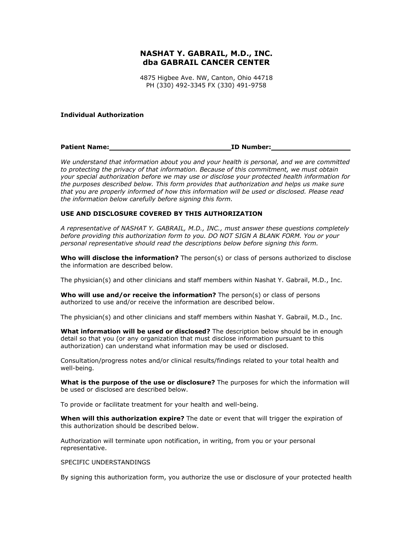# NASHAT Y. GABRAIL, M.D., INC. dba GABRAIL CANCER CENTER

4875 Higbee Ave. NW, Canton, Ohio 44718 PH (330) 492-3345 FX (330) 491-9758

Individual Authorization

Patient Name: ID Number:

We understand that information about you and your health is personal, and we are committed to protecting the privacy of that information. Because of this commitment, we must obtain your special authorization before we may use or disclose your protected health information for the purposes described below. This form provides that authorization and helps us make sure that you are properly informed of how this information will be used or disclosed. Please read the information below carefully before signing this form.

#### USE AND DISCLOSURE COVERED BY THIS AUTHORIZATION

A representative of NASHAT Y. GABRAIL, M.D., INC., must answer these questions completely before providing this authorization form to you. DO NOT SIGN A BLANK FORM. You or your personal representative should read the descriptions below before signing this form.

**Who will disclose the information?** The person(s) or class of persons authorized to disclose the information are described below.

The physician(s) and other clinicians and staff members within Nashat Y. Gabrail, M.D., Inc.

Who will use and/or receive the information? The person(s) or class of persons authorized to use and/or receive the information are described below.

The physician(s) and other clinicians and staff members within Nashat Y. Gabrail, M.D., Inc.

What information will be used or disclosed? The description below should be in enough detail so that you (or any organization that must disclose information pursuant to this authorization) can understand what information may be used or disclosed.

Consultation/progress notes and/or clinical results/findings related to your total health and well-being.

What is the purpose of the use or disclosure? The purposes for which the information will be used or disclosed are described below.

To provide or facilitate treatment for your health and well-being.

When will this authorization expire? The date or event that will trigger the expiration of this authorization should be described below.

Authorization will terminate upon notification, in writing, from you or your personal representative.

#### SPECIFIC UNDERSTANDINGS

By signing this authorization form, you authorize the use or disclosure of your protected health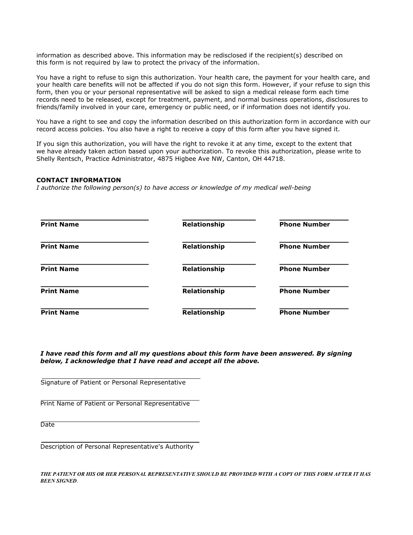information as described above. This information may be redisclosed if the recipient(s) described on this form is not required by law to protect the privacy of the information.

You have a right to refuse to sign this authorization. Your health care, the payment for your health care, and your health care benefits will not be affected if you do not sign this form. However, if your refuse to sign this form, then you or your personal representative will be asked to sign a medical release form each time records need to be released, except for treatment, payment, and normal business operations, disclosures to friends/family involved in your care, emergency or public need, or if information does not identify you. information as described above. This information may be redisclosed if the recipient(s) described on<br>this form is not required by law to protect the privacy of the information.<br>You have a right to refuse to sign this autho

You have a right to see and copy the information described on this authorization form in accordance with our record access policies. You also have a right to receive a copy of this form after you have signed it.

If you sign this authorization, you will have the right to revoke it at any time, except to the extent that we have already taken action based upon your authorization. To revoke this authorization, please write to

#### CONTACT INFORMATION

I authorize the following person(s) to have access or knowledge of my medical well-being



I have read this form and all my questions about this form have been answered. By signing below, I acknowledge that I have read and accept all the above.

Signature of Patient or Personal Representative

Print Name of Patient or Personal Representative

**Date** 

Description of Personal Representative's Authority

THE PATIENT OR HIS OR HER PERSONAL REPRESENTATIVE SHOULD BE PROVIDED WITH A COPY OF THIS FORM AFTER IT HAS BEEN SIGNED.